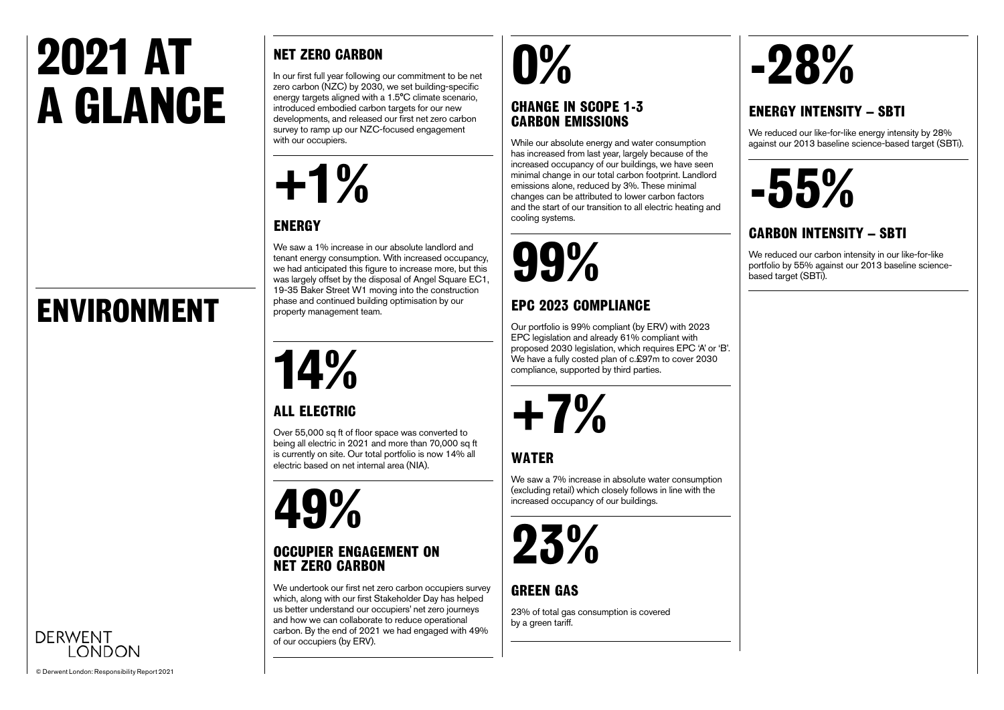### **2021 AT A GLANCE**

### **ENVIRONMENT**

### **NET ZERO CARBON**

In our first full year following our commitment to be net zero carbon (NZC) by 2030, we set building-specific energy targets aligned with a 1.5°C climate scenario, introduced embodied carbon targets for our new developments, and released our first net zero carbon survey to ramp up our NZC-focused engagement with our occupiers.



#### **ENERGY**

We saw a 1% increase in our absolute landlord and tenant energy consumption. With increased occupancy, we had anticipated this figure to increase more, but this was largely offset by the disposal of Angel Square EC1, 19-35 Baker Street W1 moving into the construction phase and continued building optimisation by our property management team.

### **14%**

#### **ALL ELECTRIC**

Over 55,000 sq ft of floor space was converted to being all electric in 2021 and more than 70,000 sq ft is currently on site. Our total portfolio is now 14% all electric based on net internal area (NIA).

### **49%**

#### **OCCUPIER ENGAGEMENT ON NET ZERO CARBON**

We undertook our first net zero carbon occupiers survey which, along with our first Stakeholder Day has helped us better understand our occupiers' net zero journeys and how we can collaborate to reduce operational carbon. By the end of 2021 we had engaged with 49% of our occupiers (by ERV).

### **0%**

#### **CHANGE IN SCOPE 1-3 CARBON EMISSIONS**

While our absolute energy and water consumption has increased from last year, largely because of the increased occupancy of our buildings, we have seen minimal change in our total carbon footprint. Landlord emissions alone, reduced by 3%. These minimal changes can be attributed to lower carbon factors and the start of our transition to all electric heating and cooling systems.

**99%**

#### **EPC 2023 COMPLIANCE**

Our portfolio is 99% compliant (by ERV) with 2023 EPC legislation and already 61% compliant with proposed 2030 legislation, which requires EPC 'A' or 'B'. We have a fully costed plan of c.£97m to cover 2030 compliance, supported by third parties.



#### **WATER**

We saw a 7% increase in absolute water consumption (excluding retail) which closely follows in line with the increased occupancy of our buildings.



#### **GREEN GAS**

23% of total gas consumption is covered by a green tariff.

## **-28%**

#### **ENERGY INTENSITY – SBTI**

We reduced our like-for-like energy intensity by 28% against our 2013 baseline science-based target (SBTi).



#### **CARBON INTENSITY – SBTI**

We reduced our carbon intensity in our like-for-like portfolio by 55% against our 2013 baseline sciencebased target (SBTi).



**DERWENT**